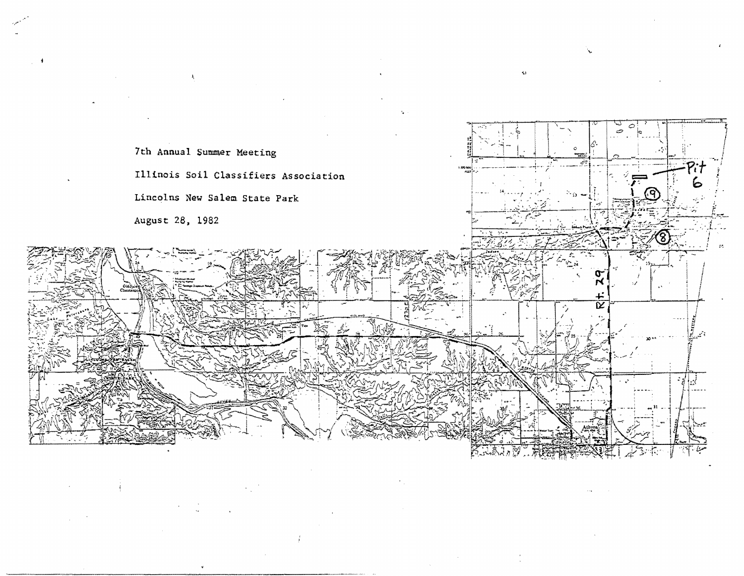

\.

"'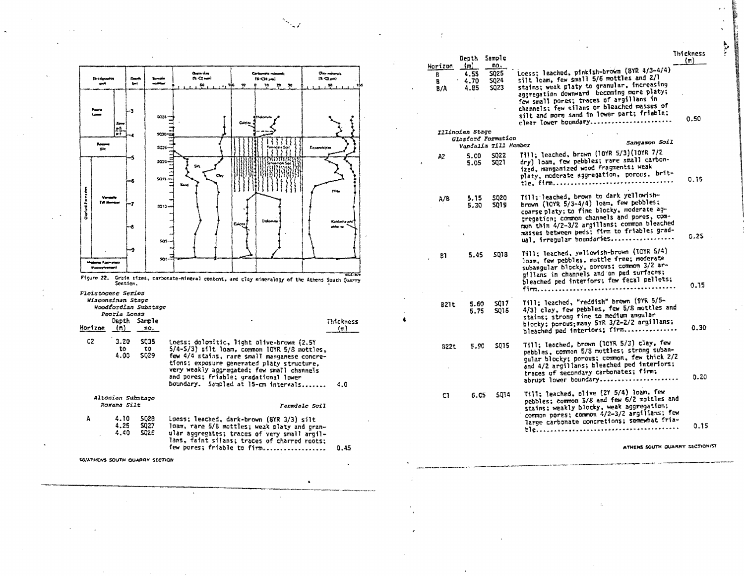

|             | Depth                       | Sample                        |                                                                                                                                                                                                                                                                                                                                                   | Thickness<br>(m) |
|-------------|-----------------------------|-------------------------------|---------------------------------------------------------------------------------------------------------------------------------------------------------------------------------------------------------------------------------------------------------------------------------------------------------------------------------------------------|------------------|
| izon<br>7A  | (m)<br>4.55<br>4.70<br>4.85 | n٥.<br>S025<br>\$024<br>\$Q23 | Loess; leached, pinkish-brown (BYR 4/3-4/4)<br>silt loam, few small 5/6 mottles and 2/l<br>stains; weak platy to granular, increasing<br>aggregation downward becoming more platy;<br>few small pores; traces of argillans in<br>channels; few silans or bleached masses of<br>silt and more sand in lower part; friable;<br>clear lower boundary | 0.50             |
|             | [llinoian Stage             | Glasford Formation            |                                                                                                                                                                                                                                                                                                                                                   |                  |
|             |                             | Vandalia Till Hember          | Sangamon Soil                                                                                                                                                                                                                                                                                                                                     |                  |
| 12          | 5.CO<br>5.05                | S022<br>5021                  | Till; leached, brown (10YR 5/3)(10YR 7/2<br>dry) loam, few pebbles; rare small carbon-<br>ized, mangamized wood fragments: weak<br>platy, moderate aggregation, porous, brit-                                                                                                                                                                     | 0.15             |
| A/B         | 5.15<br>5.30                | 5020<br>SQ19.                 | Till: leached, brown to dark yellowish-<br>brown (IOYR 5/3-4/4) loam, few pebbles;<br>coarse platy; to fine blocky, moderate ag-<br>gregation; common channels and pores, com-<br>mon thin 4/2-3/2 argillans: common bleached<br>masses between peds; firm to friable; grad-<br>ual, irregular boundaries                                         | 0.25             |
| B1          | 5.45                        | 5018                          | Till; leached, yellowish-brown (IOYR 5/4)<br>loam, few pebbles, mottle free; moderate<br>subangular blocky, porous; common 3/2 ar-<br>gillans in channels and on ped surfaces;<br>bleached ped interiors; few fecal pellets;<br>firm                                                                                                              | 0.15             |
| <b>B21t</b> | 5.60<br>5.75                | 5017<br>5015                  | Till: leached, "reddish" brown (9YR 5/5-<br>4/3) clay, few pebbles, few 5/8 mottles and<br>stains; strong fine to medium angular<br>blocky; porous; many 5YR 3/2-2/2 argillans;<br>bleached ped interiors; firm                                                                                                                                   | 0.30             |
| 822t        | 5.90                        | 5015                          | Till; leached, brown (10YR 5/3) clay, few<br>pebbles, common 5/8 mottles; strong suban-<br>gular blocky; porous; common, few thick 2/2<br>and 4/2 argillans; bleached ped interiors;<br>traces of secondary carbonates; firm;<br>abrupt lower boundary                                                                                            | 0.20             |
| C1          | 6.05                        | 5014                          | Till: Teached, olive (2Y 5/4) loam, few<br>pebbles; common 5/8 and few 6/2 mottles and<br>stains: weakly blocky, weak aggregation;<br>common pores; common 4/2-3/2 argillans; few<br>large carbonate concretions; somewhat fria-                                                                                                                  | 0.15             |
|             |                             |                               |                                                                                                                                                                                                                                                                                                                                                   |                  |

ATHENS SOUTH QUARRY SECTION/S

**P**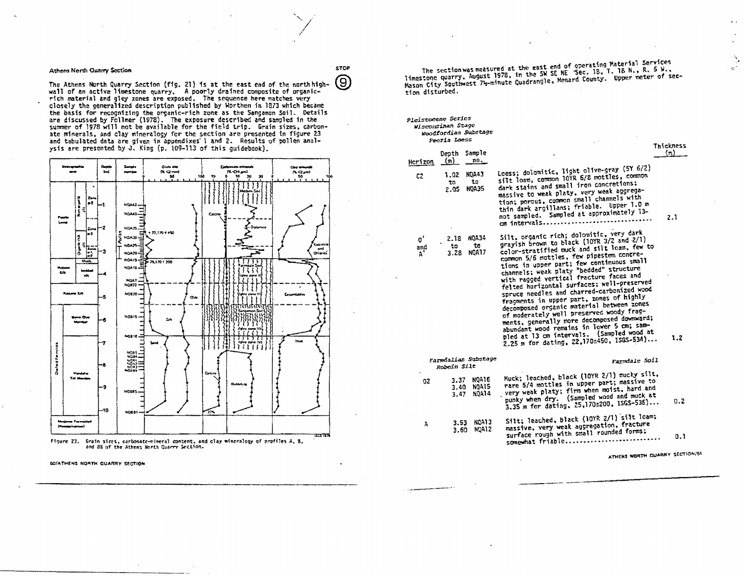## **Athens North Quarry Section**

The Athens North Quarry Section (fig. 21) is at the east end of the north high-wall of an active limestone quarry. A poorly drained composite of organicrich material and gley zones are exposed. The sequence here matches very<br>closely the generalized description published by Worthen in 1873 which became the basis for recognizing the organic-rich zone as the Sangamon Soil. Details<br>are discussed by Follmer (1978). The exposure described and sampled in the<br>summer of 1978 will not be available for the field trip. Grain sizes, ate minerals, and clay mineralogy for the section are presented in figure 23 and tabulated data are given in appendixes'l and 2. Results of pollen analysis are presented by J. King (p. 109-113 of this guidebook).



Figure 23. Grain sizes, carbonate-mineral content, and clay mineralogy of profiles A, B, and BB of the Athens North Quarry Section.

The section was measured at the east end of operating Material Services limestone quarry, August 1978, in the SW SE NE Sec. 18, T. 18 N., R. 5 M., Mason City Southwest 74-minute Quadrangle, Menard County. Upper meter of section disturbed.

|                                         | Pleistocene Scries<br>Wisconsinan Stage<br>Woodfordian Substage<br>Peoria Loess |                                                                                                                                                                                                                                                                                                                                                                                                                                                                                                                                                                                                                                                                                                                                          | Thickness |
|-----------------------------------------|---------------------------------------------------------------------------------|------------------------------------------------------------------------------------------------------------------------------------------------------------------------------------------------------------------------------------------------------------------------------------------------------------------------------------------------------------------------------------------------------------------------------------------------------------------------------------------------------------------------------------------------------------------------------------------------------------------------------------------------------------------------------------------------------------------------------------------|-----------|
| Herizon                                 | Sample<br>Deoth<br>лΩ.<br>(พ)                                                   |                                                                                                                                                                                                                                                                                                                                                                                                                                                                                                                                                                                                                                                                                                                                          | (m)       |
| C2                                      | <b>NOA43</b><br>1.02<br>tσ<br>to<br><b>NOA35</b><br>2.05                        | Loess; dolomitic, light olive-gray (5Y 6/2)<br>silt loam, common lûYR 6/8 mottles, common<br>dark stains and small iron concretions:<br>massive to weak platy, very weak aggrega-<br>tion; porous, common small channels with<br>thin dark argillans; friable. Upper 1.0 m<br>not sampled. Sampled at approximately 13-<br>om intervals                                                                                                                                                                                                                                                                                                                                                                                                  | 2.1       |
| $\mathfrak{o}^*$<br>and<br>$A^{\prime}$ | NOA34<br>2.18<br>to<br>to<br><b>NOA17</b><br>3.28                               | Silt, organic rich; dolomitic, very dark<br>grayish brown to black (10YR 3/2 and 2/1)<br>color-stratified muck and silt leam. few to<br>common 5/6 mottles, few pipestem concre-<br>tions in upper part; few continuous small<br>channels: weak platy "bedded" structure<br>with ragged vertical fracture faces and<br>felted horizontal surfaces; well-preserved<br>spruce needles and charred-carbonized wood<br>fragments in upper part, zones of highly<br>decomposed organic material between zones<br>of moderately well preserved woody frag-<br>ments, generally more decomposed downward;<br>abundant wood remains in lower 5 cm; sam-<br>pled at 13 cm intervals. (Sampled wood at<br>2.25 m for dating, 22,170±450, ISGS-534) | 1.2       |
|                                         | Faredalian Substage<br>Robein Silt                                              | Farmdale Soil                                                                                                                                                                                                                                                                                                                                                                                                                                                                                                                                                                                                                                                                                                                            |           |
| GZ                                      | NOA16<br>3.37<br>NOA15<br>3.40<br><b>NOA14</b><br>3.47                          | Muck; leached, black (10YR 2/1) mucky silt,<br>rare 5/4 mottles in upper part; massive to<br>very weak platy; firm when moist, hard and<br>punky when dry. (Sampled wood and muck at<br>3.35 m for dating. 25.170±200. ISGS-536)                                                                                                                                                                                                                                                                                                                                                                                                                                                                                                         | 0.2       |
| A                                       | NOA13<br>3.53<br>NOA12<br>3.60                                                  | Silt; leached, black (10YR 2/1) silt loam;<br>massive, very weak aggregation, fracture<br>surface rough with small rounded forms;<br>somewhat friable                                                                                                                                                                                                                                                                                                                                                                                                                                                                                                                                                                                    | 0.1       |

ATHENS NORTH QUARRY SECTION/51

**STOP** (9)

SO/ATHENS NORTH QUARRY SECTION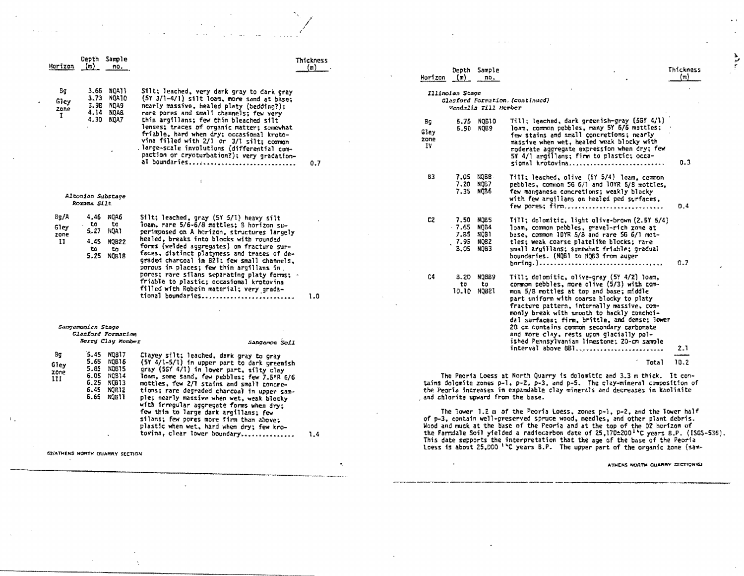|                             |                                                                 |                                                             |                                                                                                                                                                                                                                                                                                                                                                                                   |                                                                                                                                                                                                                                                                                                                                                                                                                                                                                                                                                                                                                                                                                                                                                                                                                                     |  |                          |                           |                                     | $\omega = -\omega - \omega$                                                                                                                                                                                                                                                                                                                                                                                           |                  |
|-----------------------------|-----------------------------------------------------------------|-------------------------------------------------------------|---------------------------------------------------------------------------------------------------------------------------------------------------------------------------------------------------------------------------------------------------------------------------------------------------------------------------------------------------------------------------------------------------|-------------------------------------------------------------------------------------------------------------------------------------------------------------------------------------------------------------------------------------------------------------------------------------------------------------------------------------------------------------------------------------------------------------------------------------------------------------------------------------------------------------------------------------------------------------------------------------------------------------------------------------------------------------------------------------------------------------------------------------------------------------------------------------------------------------------------------------|--|--------------------------|---------------------------|-------------------------------------|-----------------------------------------------------------------------------------------------------------------------------------------------------------------------------------------------------------------------------------------------------------------------------------------------------------------------------------------------------------------------------------------------------------------------|------------------|
|                             |                                                                 | Depth Sample                                                |                                                                                                                                                                                                                                                                                                                                                                                                   | Thickness                                                                                                                                                                                                                                                                                                                                                                                                                                                                                                                                                                                                                                                                                                                                                                                                                           |  |                          |                           |                                     |                                                                                                                                                                                                                                                                                                                                                                                                                       |                  |
| Horizon                     | (m)                                                             | no.                                                         |                                                                                                                                                                                                                                                                                                                                                                                                   | $(m)$ .                                                                                                                                                                                                                                                                                                                                                                                                                                                                                                                                                                                                                                                                                                                                                                                                                             |  | Horizon (m)              |                           | Depth Sample<br>no.                 |                                                                                                                                                                                                                                                                                                                                                                                                                       | Thickness<br>(m) |
| Bg<br>Gley<br>zone          | 3.66<br>3.73                                                    | NOA11<br>NQA10<br>3.98 NOA9<br>4.14 NQAB                    | Silt; leached, very dark gray to dark gray<br>$(5Y 3/1-4/1)$ silt loam, more sand at base:<br>nearly massive, healed platy (bedding?);<br>rare pores and small channels; few very                                                                                                                                                                                                                 |                                                                                                                                                                                                                                                                                                                                                                                                                                                                                                                                                                                                                                                                                                                                                                                                                                     |  |                          | Illinoian Stage           | Vandalis Till Member                | Glasford Formation. (continued)                                                                                                                                                                                                                                                                                                                                                                                       |                  |
| $\mathbf{r}$                |                                                                 | 4.30 NQA7                                                   | thin argillans; few thin bleached silt<br>lenses; traces of organic matter; somewhat<br>friable, hard when dry; occasional kroto-<br>vina filled with 2/1 or 3/1 silt; common<br>.large-scale involutions (differential com-<br>paction or cryoturbation?); very gradation-<br>al boundaries                                                                                                      | 0.7                                                                                                                                                                                                                                                                                                                                                                                                                                                                                                                                                                                                                                                                                                                                                                                                                                 |  | Вg<br>Giey<br>zone<br>I۷ |                           | 6.75 NOB10<br>6.90 NO89             | Till; Teached, dark greenish-gray (5GY 4/1)<br>loam, common pebbles, many 5Y 6/6 mottles;<br>few stains and small concretions; nearly<br>massive when wet, healed weak blocky with<br>moderate aggregate expression when dry; few<br>5Y 4/1 argillans; firm to plastic; occa-<br>sional krotovina                                                                                                                     | 0.3              |
|                             | Altonian Substage<br>Rorana Silt                                |                                                             |                                                                                                                                                                                                                                                                                                                                                                                                   |                                                                                                                                                                                                                                                                                                                                                                                                                                                                                                                                                                                                                                                                                                                                                                                                                                     |  | 83                       |                           | 7.05 NOBB<br>7.20 NOB7<br>7.35 NOB6 | Till; leached, olive (5Y 5/4) loam, common<br>pebbles, common 5G 6/1 and 10YR 6/8 mottles,<br>few manganese concretions; weakly blocky<br>with few argilians on healed ped surfaces,<br>few porest firm                                                                                                                                                                                                               | 0.4              |
| 8g/A<br>Gley<br>zone<br>-11 | to<br>5.27<br>4.45<br>to.                                       | 4.46 NGA6<br>to<br>NQA1<br><b>NOB22</b><br>to<br>5.25 NOB18 | Silt; leached, gray (57 5/1) heavy silt<br>loam, rare 5/6-6/8 mottles; 8 horizon su-<br>perimposed on A horizon, structures largely<br>healed, breaks into blocks with rounded<br>forms (welded aggregates) on fracture sur-<br>faces, distinct platymess and traces of de-<br>graded charcoal in B21: few small channels,<br>porous in places; few thin argillans in                             |                                                                                                                                                                                                                                                                                                                                                                                                                                                                                                                                                                                                                                                                                                                                                                                                                                     |  | C2                       | - 7.65 NQB4<br>.7.95 NQB2 | 7.50 NOB5<br>7.85 NOB1<br>B.05 NOB3 | Till: dolomitic, light olive-brown (2.5Y 5/4)<br>loam, common peobles, gravel-rich zone at<br>base, common 10YR 5/8 and rare 5G 6/1 mot-<br>tles; weak coarse platelike blocks; rare<br>small argillans: somewhat friable: gradual<br>boundaries. (NQB1 to NQB3 from auger                                                                                                                                            | 0.7              |
|                             | Sangamonian Stage                                               | Clasford Formation                                          | pores; rare silans separating platy forms; $\cdot$<br>friable to plastic; occasional krotovina<br>filled with Robein material; very grada-<br>tional boundaries                                                                                                                                                                                                                                   | 1.0                                                                                                                                                                                                                                                                                                                                                                                                                                                                                                                                                                                                                                                                                                                                                                                                                                 |  | C4                       | to                        | B.20 NQ589<br>to<br>10.10 HQB21     | Till: dolomitic, olive-gray (5Y 4/2) loam.<br>common pebbles, more olive (5/3) with com-<br>mon 5/8 mottles at top and base; middle<br>part uniform with coarse blocky to platy<br>fracture pattern, internally massive, com-<br>monly break with smooth to hackly conchoi-<br>dal surfaces: firm, brittle, and dense; lower<br>20 cm contains common secondary carbonate<br>and more clay, rests upon glacially pol- |                  |
|                             |                                                                 | Berry Clay Member                                           | Sangamon Soil                                                                                                                                                                                                                                                                                                                                                                                     |                                                                                                                                                                                                                                                                                                                                                                                                                                                                                                                                                                                                                                                                                                                                                                                                                                     |  |                          |                           |                                     | ished Pennsylvanian limestone: 20-cm sample<br>interval above 8Bl                                                                                                                                                                                                                                                                                                                                                     | 2.1              |
| Bч<br>Giey                  | 5.65<br>5.85                                                    | 5.45 NQ817<br>MOB16<br>NOB15                                | Clayey silt; leached, dark gray to gray<br>(5Y 4/1-5/1) in upper part to dark greenish<br>gray (56Y 4/1) in lower part, silty clay                                                                                                                                                                                                                                                                |                                                                                                                                                                                                                                                                                                                                                                                                                                                                                                                                                                                                                                                                                                                                                                                                                                     |  |                          |                           |                                     | Total                                                                                                                                                                                                                                                                                                                                                                                                                 | 10.2             |
| III                         | zone<br>6.05 NQB14<br>6.25 MQB13<br>NQB12<br>6.45<br>6.65 NOB11 |                                                             | loam, some sand, few pebbles; few 7.5YR 6/6<br>mottles, few 2/1 stains and small concre-<br>tions; rare degraded charcoal in upper sam-<br>ple; nearly massive when wet, weak blocky<br>with irregular aggregate forms when drys<br>few thin to large dark argillans; few<br>silans; few pores more firm than above;<br>plastic when wet, hard when dry; few kro-<br>tovina, clear lower boundary | The Peoria Loess at North Quarry is dolomitic and 3.3 m thick. It con-<br>tains dolomite zones $p=1$ , $p=2$ , $p=3$ , and $p=5$ . The clay-mineral composition of<br>the Peoria increases in expandable clay minerals and decreases in kaolinite<br>and chlorite upward from the base.<br>The lower 1.2 m of the Peoria Loess, zones $p-1$ , $p-2$ , and the lower half<br>of p-3, contain well-preserved spruce wood, needles, and other plant debris.<br>Wood and muck at the base of the Peoria and at the top of the O2 horizon of<br>the Farmdale Soil yielded a radiocarbon date of $25,170\pm200$ <sup>1</sup> C years B.P. (ISGS-536).<br>7.4<br>This date supports the interpretation that the age of the base of the Peoria<br>Loess is about 25,000 <sup>1</sup> °C years B.P. The upper part of the organic zone (sam- |  |                          |                           |                                     |                                                                                                                                                                                                                                                                                                                                                                                                                       |                  |

 $\pmb{\ast}_{j}$ 

 $\mathcal{A}$ 

 $\gamma_{\rm{q}}$ 

SZ/ATHENS NORTH QUARRY SECTION

 $\gamma$ 

 $\,$ 

 $\lambda$ 

 $\langle\hat{\Gamma}_\star\rangle$ 

 $\mathcal{A}$  and  $\mathcal{A}$  and  $\mathcal{A}$ 

ATHENS NORTH QUARRY SECTION/63

 $\star$   $\star$ 

 $\mathcal{L}$ 

 $\sum_{i=1}^{n}$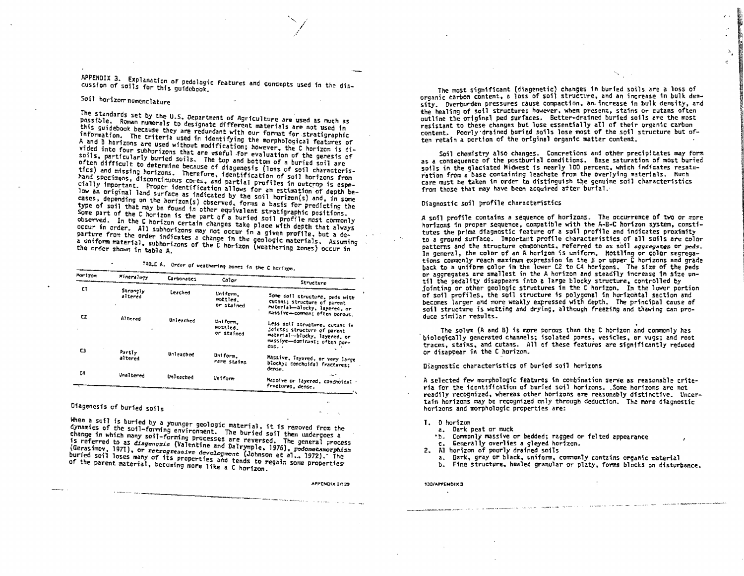APPENDIX 3. Explanation of pedologic features and concepts used in the discussion of soils for this guidebook.

## Soil horizon nomenclature

The standards set by the U.S. Department of Agriculture are used as much as possible. Roman numerals to designate different materials are not used in this guidebook because they are redundant with our format for stratigraphic information. The criteria used in identifying the morphological features of A and B horizons are used without modification; however, the C horizon is divided into four subhorizons that are useful for evaluation of the genesis of soils, particularly buried soils. The top and bottom of a buried soil are often difficult to determine because of diagenesis (loss of soil characteristics) and missing horizons. Therefore, identification of soil horizons from hand specimens, discontinuous cores, and partial profiles in outcrop is especially important. Proper identification allows for an estimation of depth below an original land surface as indicated by the soil horizon(s) and, in some cases, depending on the horizon(s) observed, forms a basis for predicting the type of soil that may be found in other equivalent stratigraphic positions. Some part of the C horizon is the part of a buried soil profile most commonly observed. In the C horizon certain changes take place with depth that always occur in order. All subhorizons may not occur in a given profile, but a departure from the order indicates a change in the geologic materials. Assuming a uniform material, subhorizons of the C horizon (weathering zones) occur in

TABLE A. Order of weathering rones in the C horizon.

| Hor 1 Ton | <b>Mineralpry</b>   | Carbonates | Color                              | Structure                                                                                                                             |
|-----------|---------------------|------------|------------------------------------|---------------------------------------------------------------------------------------------------------------------------------------|
| C)        | Strangly<br>altered | Leached    | Uniform.<br>mottled.<br>or stained | Some soil structure, peds with<br>cutans; structure of parent<br>material-blocky, layered, or<br>massive-common: often parous.        |
| CZ.       | Altered             | Unleached  | Uniform.<br>mattled.<br>or stained | Less soft structure, cutans in<br>doints: structure of parent<br>material-blocky, layered, or<br>massive-dominant; often por-<br>DUS. |
| C3        | Partly<br>altered   | Unleathed  | Uniform.<br>rare stains            | Massive, laygred, or very large<br>blocky: conchoidal fractures:<br>dense.                                                            |
| C4        | <b>Unaltered</b>    | Unleached  | Uniform                            | ه سد.<br>Massive or layered, conchoidal -<br>fractures, dense,                                                                        |

Diagenesis of buried soils

When a soil is buried by a younger geologic material, it is removed from the dynamics of the soil-forming environment. The buried soil then undergoes a change in which many soil-forming processes are reversed. The general process is referred to as diagenesis (Valentine and Dalrymple, 1976), pedometamorphism (Gerasimov, 1971), or recrogressive development (Johnson et al., 1972). The buried soil loses many of its properties and tends to regain some properties. of the parent material, becoming more like a C horizon.

APPENDIX 3/129

The most significant (diagenetic) changes in buried soils are a loss of organic carbon content, a loss of soil structure, and an increase in bulk density. Dverburden pressures cause compaction, an increase in bulk density, and the healing of soil structure; however, when present, stains or cutans often outline the original ped surfaces. Better-drained buried soils are the most resistant to these changes but lose essentially all of their organic carbon content. Poorly drained buried soils lose most of the soil structure but often retain a portion of the original organic matter content.

Soil chemistry also changes. Concretions and other precipitates may form as a consequence of the postburial conditions. Base saturation of most buried soils in the glaciated Midwest is nearly 100 percent, which indicates resaturation from a base containing leachate from the overlying materials. Much care must be taken in order to distinguish the genuine soil characteristics from those that may have been acquired after burial.

## Diagnostic soil profile characteristics

A soil profile contains a sequence of horizons. The occurrence of two or more horizons in proper sequence, compatible with the A-B-C horizon system, constitutes the prime diagnostic feature of a soil profile and indicates proximity to a ground surface. Important profile characteristics of all soils are color patterns and the structure components, referred to as soil aggregates or peds. In general, the color of an A horizon is uniform. Mottling or color segregations commonly reach maximum expression in the B or upper C horizons and grade back to a uniform color in the lower C2 to C4 horizons. The size of the peds or aggregates are smallest in the A horizon and steadily increase in size until the pedality disappears into a large blocky structure, controlled by jointing or other geologic structures in the C horizon. In the lower portion of soil profiles, the soil structure is polygonal in horizontal section and becomes larger and more weakly expressed with depth. The principal cause of soil structure is wetting and drying, although freezing and thawing can produce similar results.

The solum (A and B) is more porous than the C horizon and commonly has biologically generated channels; isolated pores, vesicles, or yugs; and root traces, stains, and cutans. All of these features are significantly reduced or disappear in the C horizon.

Diagnostic characteristics of buried soil horizons

A selected few morphologic features in combination serve as reasonable criteria for the identification of buried soil horizons. Some horizons are not readily recognized, whereas other horizons are reasonably distinctive. Uncertain horizons may be recognized only through deduction. The more diagnostic horizons and morphologic properties are:

- I. D horizon
	- a. Dark peat or muck
	- \*b. Commonly massive or bedded; ragged or felted appearance
	- c. Generally overlies a gleyed horizon.
- 2. Al horizon of poorly drained soils
	- a. Dark, gray or black, uniform, commonly contains organic material
	- b. Fine structure, healed granular or platy, forms blocks on disturbance.

130/APPENDIX 3  $\mathbf{A}$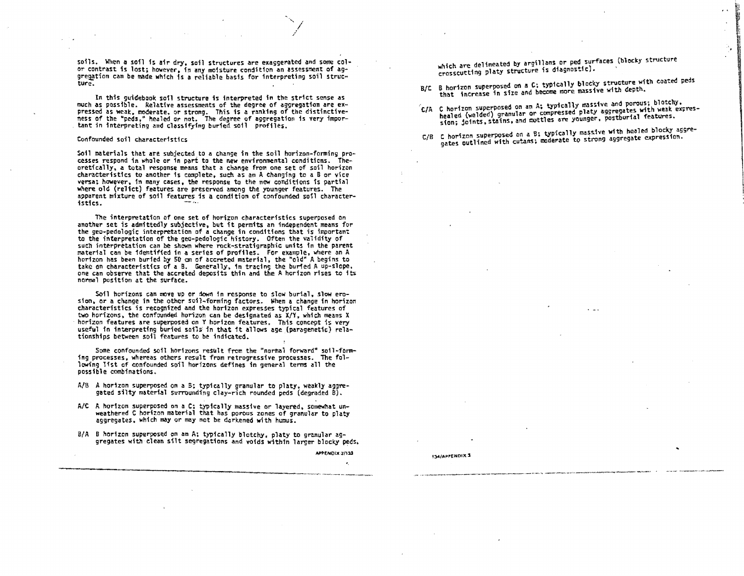soils. When a sofl fs afr dry, soil structures are exaggerated and some col• *or* contrast is lost; however. fn any moisture condition an assessment of ag gregation can be made which is a reliable basis for interpreting soil struc $$ ture.

In this guidebook soil structure is interpreted in the strict sense as<br>much as possible. Relative assessments of the degree of aggregation are ex-<br>pressed as weak, moderate, or strong. This is a ranking of the distinctiv tant in interpreting and classifying buried soil profiles.

## Confounded soil characteristics

Soil materials that are subjected to a change in the soil horizon-forming prooretically, a total response means that a change from one set of soil horizon<br>characteristics to another is complete, such as an A changing to a B or vice<br>versa: however, in many cases, the response to the new conditions i where old (relict) features are preserved among the younger features. The apparent mixture of soil features is a condition of confounded soil character-<br>istics.

The interpretation of one set of horizon characteristics superposed on<br>another set is admittedly subjective, but it permits an independent means for<br>the geo-pedologic interpretation of a change in conditions that is import such interpretation can be shown where rock-stratigraphic units in the parent<br>material can be identified in a series of profiles. For example, where an A<br>horizon has been buried by 50 cm of accreted material, the "old" A b one can observe that the accreted deposits thin and the A horizon rises to its normal position at the surface.

Soil horizons can move up or down in response to slow burial, slow ero-<br>sion, or a change in the other soil-forming factors. When a change in horizon<br>characteristics is recognized and the horizon expresses typical features two horizons, the confounded horizon can be designated as X/Y, which means X<br>horizon features are superposed on Y horizon features. This concept is very · horizon features are superposed on Y horizon features. This concept is *very* useful in interpreting buried soi1s: in that 1t al1ows age .{i:iaragenetic) rela- tionships between soil features to be indicated.

Some confounded soil horizons result from the "normal forward" soil-form+ fng processes, whereas others result from retrogressive processes. The fol- 1owing lfst of confounded soil horizons defines in general terms all the possible combinations.

- $A/B$  A horizon superposed on a B; typically granular to platy, weakly aggregated silty material surrounding clay-rich rounded peds (degraded B).
- A/C A horizon superposed on a C; typically massive or layered. somewhat un-<br>weathered C horizon material that has porous zones of granular to platy aggregates, which may or may not be darkened with humus.
- B/A B horizon superposed on an A; typically blotchy, platy to granular aggregates with clean silt segregations and voids within larger blocky peds.

APPENDIX 3/123

which are delineated by argillans or ped surfaces (blocky structure crosscutting platy structure is diagnostic).

- B/C B horizon superposed on a C; typically blocky structure with coated peds<br>that increase in size and become more massive with depth.
- 't/A healed (welded) granular or compressed platy aggregates with weak expres-<br>sion; joints, stains, and mottles are younger, postburial features,
- C/B C horizon\_superposed on a B; typically massive with healed blocky aggre-<br>C/B C horizon\_superposed on a B; typically massrong aggregate expression. gates outlined with cutans; moderate to strong aggregate expression.

**134/APPENDIX 3**